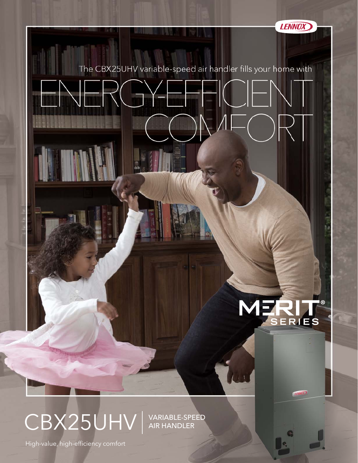

The CBX25UHV variable-speed air handler fills your home with

**HILL LANDS** 

## MERIT l ®

**LEMADE** 

CBX25UHV | VARIABLE-SPEED

AIR HANDLER

High-value, high-efficiency comfort